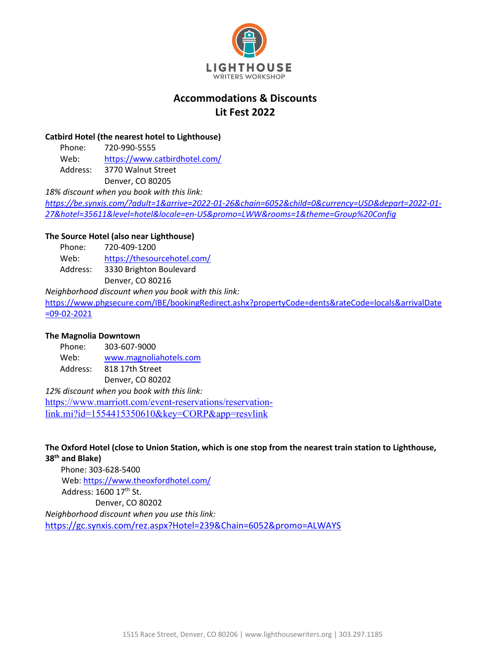

# **Accommodations & Discounts Lit Fest 2022**

### **Catbird Hotel (the nearest hotel to Lighthouse)**

Phone: 720-990-5555 Web: https://www.catbirdhotel.com/ Address: 3770 Walnut Street Denver, CO 80205

*18% discount when you book with this link:*

*https://be.synxis.com/?adult=1&arrive=2022-01-26&chain=6052&child=0&currency=USD&depart=2022-01- 27&hotel=35611&level=hotel&locale=en-US&promo=LWW&rooms=1&theme=Group%20Config*

## **The Source Hotel (also near Lighthouse)**

Phone: 720-409-1200

Web: https://thesourcehotel.com/

Address: 3330 Brighton Boulevard Denver, CO 80216

*Neighborhood discount when you book with this link:* 

https://www.phgsecure.com/IBE/bookingRedirect.ashx?propertyCode=dents&rateCode=locals&arrivalDate =09-02-2021

## **The Magnolia Downtown**

Phone: 303-607-9000 Web: www.magnoliahotels.com Address: 818 17th Street

Denver, CO 80202

*12% discount when you book with this link:* https://www.marriott.com/event-reservations/reservationlink.mi?id=1554415350610&key=CORP&app=resvlink

**The Oxford Hotel (close to Union Station, which is one stop from the nearest train station to Lighthouse, 38th and Blake)**

Phone: 303-628-5400 Web: https://www.theoxfordhotel.com/ Address: 1600 17th St. Denver, CO 80202 *Neighborhood discount when you use this link:*  https://gc.synxis.com/rez.aspx?Hotel=239&Chain=6052&promo=ALWAYS